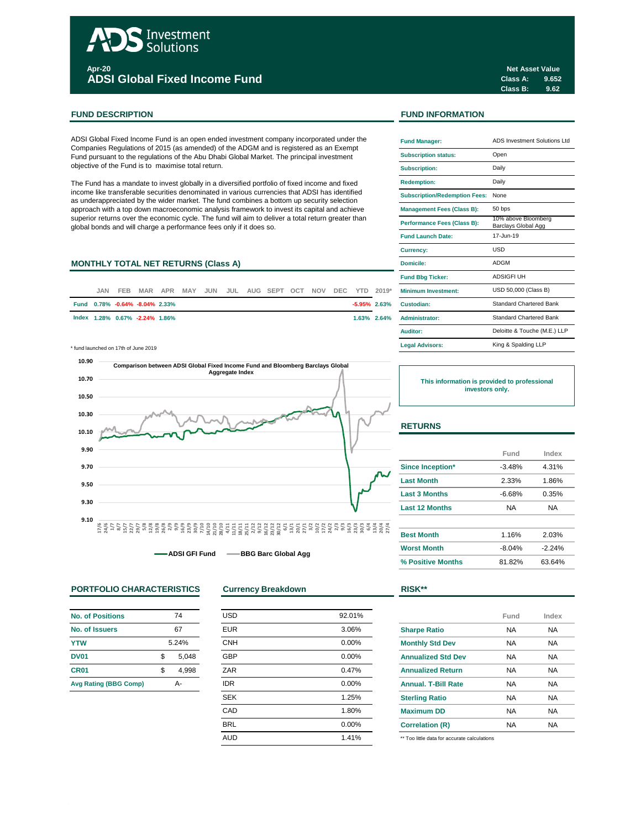# Investment Solutions **Apr-20 ADSI Global Fixed Income Fund**

## **FUND DESCRIPTION FUND INFORMATION**

ADSI Global Fixed Income Fund is an open ended investment company incorporated under the Companies Regulations of 2015 (as amended) of the ADGM and is registered as an Exempt Fund pursuant to the regulations of the Abu Dhabi Global Market. The principal investment objective of the Fund is to maximise total return.

The Fund has a mandate to invest globally in a diversified portfolio of fixed income and fixed income like transferable securities denominated in various currencies that ADSI has identified as underappreciated by the wider market. The fund combines a bottom up security selection approach with a top down macroeconomic analysis framework to invest its capital and achieve superior returns over the economic cycle. The fund will aim to deliver a total return greater than global bonds and will charge a performance fees only if it does so.

## **MONTHLY TOTAL NET RETURNS (Class A)**

| JAN. | FEB. |                                |  |  | MAR APR MAY JUN JUL AUG SEPT OCT NOV DEC YTD 2019* |  |  |                | <b>Minimum Investment:</b> |
|------|------|--------------------------------|--|--|----------------------------------------------------|--|--|----------------|----------------------------|
|      |      | Fund 0.78% -0.64% -8.04% 2.33% |  |  |                                                    |  |  |                | -5.95% 2.63% Custodian:    |
|      |      | lndex 1.28% 0.67% -2.24% 1.86% |  |  |                                                    |  |  | $1.63\%$ 2.64% | <b>Administrator:</b>      |

\* fund launched on 17th of June 2019 **Legal Advisors:**



**ADSI GFI Fund BBG Barc Global Agg**

## **PORTFOLIO CHARACTERISTICS Currency Breakdown RISK\*\***

| No. of Positions             | 74          |
|------------------------------|-------------|
| No. of Issuers               | 67          |
| <b>YTW</b>                   | 5.24%       |
| <b>DV01</b>                  | \$<br>5,048 |
| CR <sub>01</sub>             | \$<br>4.998 |
| <b>Avg Rating (BBG Comp)</b> | Δ.          |

| <b>USD</b> | 92.01% |
|------------|--------|
| <b>EUR</b> | 3.06%  |
| <b>CNH</b> | 0.00%  |
| <b>GBP</b> | 0.00%  |
| ZAR        | 0.47%  |
| <b>IDR</b> | 0.00%  |
| <b>SEK</b> | 1.25%  |
| CAD        | 1.80%  |
| <b>BRL</b> | 0.00%  |
| <b>AUD</b> | 1.41%  |
|            |        |

| <b>Fund Manager:</b>                 | ADS Investment Solutions Ltd                      |  |  |  |  |
|--------------------------------------|---------------------------------------------------|--|--|--|--|
| <b>Subscription status:</b>          | Open                                              |  |  |  |  |
| <b>Subscription:</b>                 | Daily                                             |  |  |  |  |
| <b>Redemption:</b>                   | Daily                                             |  |  |  |  |
| <b>Subscription/Redemption Fees:</b> | None                                              |  |  |  |  |
| <b>Management Fees (Class B):</b>    | 50 bps                                            |  |  |  |  |
| Performance Fees (Class B):          | 10% above Bloomberg<br><b>Barclays Global Agg</b> |  |  |  |  |
| <b>Fund Launch Date:</b>             | 17-Jun-19                                         |  |  |  |  |
| Currency:                            | USD                                               |  |  |  |  |
| Domicile:                            | <b>ADGM</b>                                       |  |  |  |  |
| <b>Fund Bbg Ticker:</b>              | <b>ADSIGFIUH</b>                                  |  |  |  |  |
| Minimum Investment:                  | USD 50,000 (Class B)                              |  |  |  |  |
| Custodian:                           | <b>Standard Chartered Bank</b>                    |  |  |  |  |
| <b>Administrator:</b>                | <b>Standard Chartered Bank</b>                    |  |  |  |  |
| Auditor:                             | Deloitte & Touche (M.E.) LLP                      |  |  |  |  |
| <b>Legal Advisors:</b>               | King & Spalding LLP                               |  |  |  |  |

**This information is provided to professional investors only.**

## **RETURNS**

|                       | Fund     | Index    |
|-----------------------|----------|----------|
| Since Inception*      | $-3.48%$ | 4.31%    |
| <b>Last Month</b>     | 2.33%    | 1.86%    |
| <b>Last 3 Months</b>  | $-6.68%$ | 0.35%    |
| <b>Last 12 Months</b> | NA       | NA       |
|                       |          |          |
| <b>Best Month</b>     | 1.16%    | 2.03%    |
| <b>Worst Month</b>    | $-8.04%$ | $-2.24%$ |

**% Positive Months** 81.82% 63.64%

|                                             | Fund      | Index |
|---------------------------------------------|-----------|-------|
| <b>Sharpe Ratio</b>                         | <b>NA</b> | NA    |
| <b>Monthly Std Dev</b>                      | <b>NA</b> | NA.   |
| <b>Annualized Std Dev</b>                   | <b>NA</b> | NA.   |
| <b>Annualized Return</b>                    | <b>NA</b> | NA.   |
| <b>Annual, T-Bill Rate</b>                  | <b>NA</b> | NA.   |
| <b>Sterling Ratio</b>                       | <b>NA</b> | NA    |
|                                             | <b>NA</b> | NA    |
|                                             | NA        | NA    |
| <b>Maximum DD</b><br><b>Correlation (R)</b> |           |       |

\*\* Too little data for accurate calculations

**Class A: 9.652 Class B: 9.62 Net Asset Value**